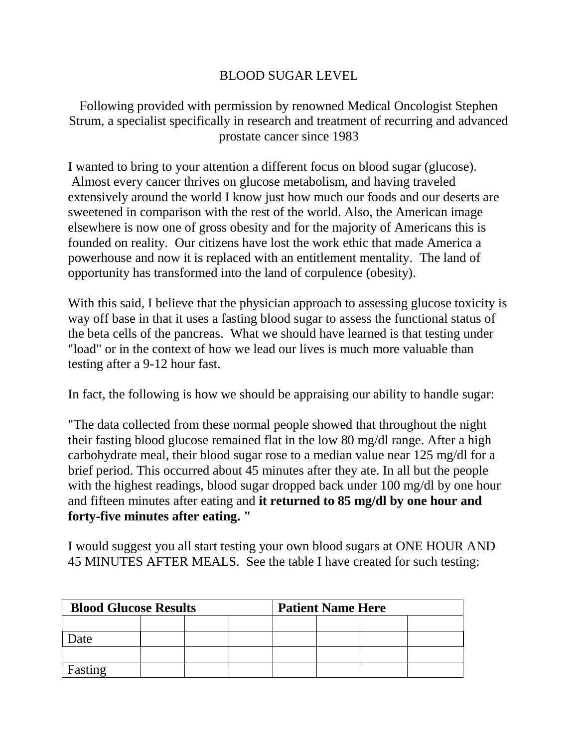## BLOOD SUGAR LEVEL

Following provided with permission by renowned Medical Oncologist Stephen Strum, a specialist specifically in research and treatment of recurring and advanced prostate cancer since 1983

I wanted to bring to your attention a different focus on blood sugar (glucose). Almost every cancer thrives on glucose metabolism, and having traveled extensively around the world I know just how much our foods and our deserts are sweetened in comparison with the rest of the world. Also, the American image elsewhere is now one of gross obesity and for the majority of Americans this is founded on reality. Our citizens have lost the work ethic that made America a powerhouse and now it is replaced with an entitlement mentality. The land of opportunity has transformed into the land of corpulence (obesity).

With this said, I believe that the physician approach to assessing glucose toxicity is way off base in that it uses a fasting blood sugar to assess the functional status of the beta cells of the pancreas. What we should have learned is that testing under "load" or in the context of how we lead our lives is much more valuable than testing after a 9-12 hour fast.

In fact, the following is how we should be appraising our ability to handle sugar:

"The data collected from these normal people showed that throughout the night their fasting blood glucose remained flat in the low 80 mg/dl range. After a high carbohydrate meal, their blood sugar rose to a median value near 125 mg/dl for a brief period. This occurred about 45 minutes after they ate. In all but the people with the highest readings, blood sugar dropped back under 100 mg/dl by one hour and fifteen minutes after eating and **it returned to 85 mg/dl by one hour and forty-five minutes after eating. "**

I would suggest you all start testing your own blood sugars at ONE HOUR AND 45 MINUTES AFTER MEALS. See the table I have created for such testing:

| <b>Blood Glucose Results</b> |  |  |  | <b>Patient Name Here</b> |  |  |  |
|------------------------------|--|--|--|--------------------------|--|--|--|
|                              |  |  |  |                          |  |  |  |
| Date                         |  |  |  |                          |  |  |  |
|                              |  |  |  |                          |  |  |  |
| Fasting                      |  |  |  |                          |  |  |  |